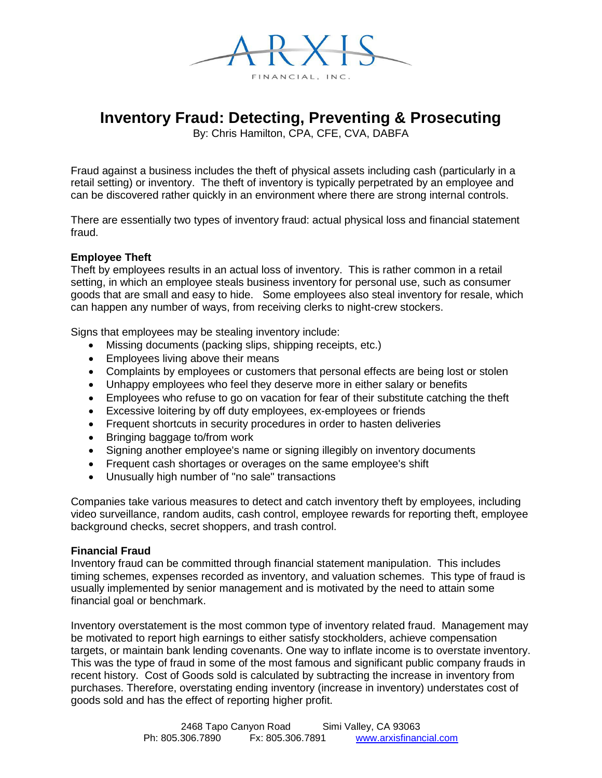

# **Inventory Fraud: Detecting, Preventing & Prosecuting**

By: Chris Hamilton, CPA, CFE, CVA, DABFA

Fraud against a business includes the theft of physical assets including cash (particularly in a retail setting) or inventory. The theft of inventory is typically perpetrated by an employee and can be discovered rather quickly in an environment where there are strong internal controls.

There are essentially two types of inventory fraud: actual physical loss and financial statement fraud.

# **Employee Theft**

Theft by employees results in an actual loss of inventory. This is rather common in a retail setting, in which an employee steals business inventory for personal use, such as consumer goods that are small and easy to hide. Some employees also steal inventory for resale, which can happen any number of ways, from receiving clerks to night-crew stockers.

Signs that employees may be stealing inventory include:

- Missing documents (packing slips, shipping receipts, etc.)
- Employees living above their means
- Complaints by employees or customers that personal effects are being lost or stolen
- Unhappy employees who feel they deserve more in either salary or benefits
- Employees who refuse to go on vacation for fear of their substitute catching the theft
- Excessive loitering by off duty employees, ex-employees or friends
- Frequent shortcuts in security procedures in order to hasten deliveries
- Bringing baggage to/from work
- Signing another employee's name or signing illegibly on inventory documents
- Frequent cash shortages or overages on the same employee's shift
- Unusually high number of "no sale" transactions

Companies take various measures to detect and catch inventory theft by employees, including video surveillance, random audits, cash control, employee rewards for reporting theft, employee background checks, secret shoppers, and trash control.

#### **Financial Fraud**

Inventory fraud can be committed through financial statement manipulation. This includes timing schemes, expenses recorded as inventory, and valuation schemes. This type of fraud is usually implemented by senior management and is motivated by the need to attain some financial goal or benchmark.

Inventory overstatement is the most common type of inventory related fraud. Management may be motivated to report high earnings to either satisfy stockholders, achieve compensation targets, or maintain bank lending covenants. One way to inflate income is to overstate inventory. This was the type of fraud in some of the most famous and significant public company frauds in recent history. Cost of Goods sold is calculated by subtracting the increase in inventory from purchases. Therefore, overstating ending inventory (increase in inventory) understates cost of goods sold and has the effect of reporting higher profit.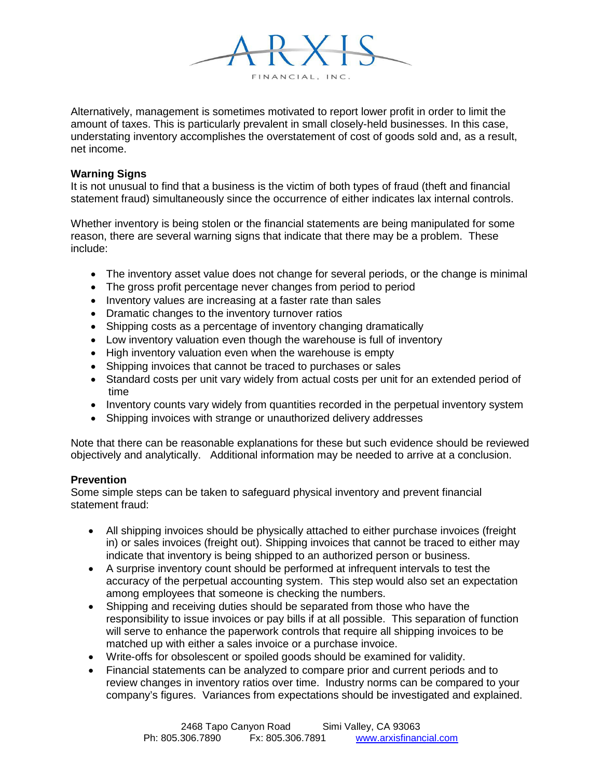

Alternatively, management is sometimes motivated to report lower profit in order to limit the amount of taxes. This is particularly prevalent in small closely-held businesses. In this case, understating inventory accomplishes the overstatement of cost of goods sold and, as a result, net income.

## **Warning Signs**

It is not unusual to find that a business is the victim of both types of fraud (theft and financial statement fraud) simultaneously since the occurrence of either indicates lax internal controls.

Whether inventory is being stolen or the financial statements are being manipulated for some reason, there are several warning signs that indicate that there may be a problem. These include:

- The inventory asset value does not change for several periods, or the change is minimal
- The gross profit percentage never changes from period to period
- Inventory values are increasing at a faster rate than sales
- Dramatic changes to the inventory turnover ratios
- Shipping costs as a percentage of inventory changing dramatically
- Low inventory valuation even though the warehouse is full of inventory
- High inventory valuation even when the warehouse is empty
- Shipping invoices that cannot be traced to purchases or sales
- Standard costs per unit vary widely from actual costs per unit for an extended period of time
- Inventory counts vary widely from quantities recorded in the perpetual inventory system
- Shipping invoices with strange or unauthorized delivery addresses

Note that there can be reasonable explanations for these but such evidence should be reviewed objectively and analytically. Additional information may be needed to arrive at a conclusion.

# **Prevention**

Some simple steps can be taken to safeguard physical inventory and prevent financial statement fraud:

- All shipping invoices should be physically attached to either purchase invoices (freight in) or sales invoices (freight out). Shipping invoices that cannot be traced to either may indicate that inventory is being shipped to an authorized person or business.
- A surprise inventory count should be performed at infrequent intervals to test the accuracy of the perpetual accounting system. This step would also set an expectation among employees that someone is checking the numbers.
- Shipping and receiving duties should be separated from those who have the responsibility to issue invoices or pay bills if at all possible. This separation of function will serve to enhance the paperwork controls that require all shipping invoices to be matched up with either a sales invoice or a purchase invoice.
- Write-offs for obsolescent or spoiled goods should be examined for validity.
- Financial statements can be analyzed to compare prior and current periods and to review changes in inventory ratios over time. Industry norms can be compared to your company's figures. Variances from expectations should be investigated and explained.